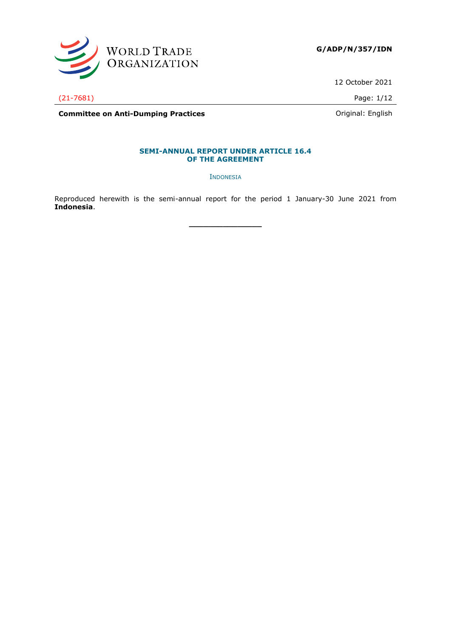

12 October 2021

(21-7681) Page: 1/12

**Committee on Anti-Dumping Practices Committee on Anti-Dumping Practices Committee on Anti-Dumping Practices** 

# **SEMI-ANNUAL REPORT UNDER ARTICLE 16.4**

**OF THE AGREEMENT**

INDONESIA

Reproduced herewith is the semi-annual report for the period 1 January-30 June 2021 from **Indonesia**.

**\_\_\_\_\_\_\_\_\_\_\_\_\_\_\_**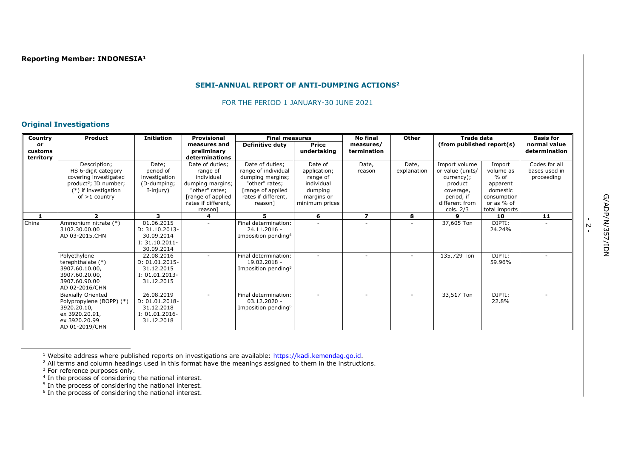#### **SEMI-ANNUAL REPORT OF ANTI-DUMPING ACTIONS<sup>2</sup>**

FOR THE PERIOD 1 JANUARY-30 JUNE 2021

### **Original Investigations**

| Country   | Product                               | <b>Initiation</b>            | <b>Provisional</b>  | <b>Final measures</b>                |                | <b>No final</b>         | <b>Other</b> | <b>Trade data</b>         |                     | <b>Basis for</b> |
|-----------|---------------------------------------|------------------------------|---------------------|--------------------------------------|----------------|-------------------------|--------------|---------------------------|---------------------|------------------|
| or        |                                       |                              | measures and        | <b>Definitive duty</b>               | <b>Price</b>   | measures/               |              | (from published report(s) |                     | normal value     |
| customs   |                                       |                              | preliminary         |                                      | undertaking    | termination             |              |                           |                     | determination    |
| territory |                                       |                              | determinations      |                                      |                |                         |              |                           |                     |                  |
|           | Description;                          | Date;                        | Date of duties;     | Date of duties;                      | Date of        | Date,                   | Date,        | Import volume             | Import              | Codes for all    |
|           | HS 6-digit category                   | period of                    | range of            | range of individual                  | application;   | reason                  | explanation  | or value (units/          | volume as           | bases used in    |
|           | covering investigated                 | investigation                | individual          | dumping margins;                     | range of       |                         |              | currency);                | $%$ of              | proceeding       |
|           | product <sup>3</sup> ; ID number;     | (D-dumping;                  | dumping margins;    | "other" rates;                       | individual     |                         |              | product                   | apparent            |                  |
|           | $(*)$ if investigation                | I-injury)                    | "other" rates;      | [range of applied                    | dumping        |                         |              | coverage,                 | domestic            |                  |
|           | of $>1$ country                       |                              | [range of applied   | rates if different.                  | margins or     |                         |              | period, if                | consumption         |                  |
|           |                                       |                              | rates if different, | reason]                              | minimum prices |                         |              | different from            | or as % of          |                  |
| 1         | $\overline{\phantom{a}}$              | 3.                           | reason]<br>4        | 5.                                   | 6              | $\overline{\mathbf{z}}$ | 8            | cols. $2/3$<br>q          | total imports<br>10 | 11               |
|           |                                       |                              |                     |                                      |                |                         |              |                           |                     |                  |
| China     | Ammonium nitrate (*)<br>3102.30.00.00 | 01.06.2015<br>D: 31.10.2013- |                     | Final determination:<br>24.11.2016 - |                |                         |              | 37,605 Ton                | DIPTI:<br>24.24%    |                  |
|           | AD 03-2015.CHN                        | 30.09.2014                   |                     | Imposition pending <sup>4</sup>      |                |                         |              |                           |                     |                  |
|           |                                       | $I: 31.10.2011 -$            |                     |                                      |                |                         |              |                           |                     |                  |
|           |                                       | 30.09.2014                   |                     |                                      |                |                         |              |                           |                     |                  |
|           | Polyethylene                          | 22.08.2016                   |                     | Final determination:                 |                |                         |              | 135,729 Ton               | DIPTI:              |                  |
|           | terephthalate (*)                     | D: 01.01.2015-               |                     | 19.02.2018 -                         |                |                         |              |                           | 59.96%              |                  |
|           | 3907.60.10.00,                        | 31.12.2015                   |                     | Imposition pending <sup>5</sup>      |                |                         |              |                           |                     |                  |
|           | 3907.60.20.00,                        | $I: 01.01.2013 -$            |                     |                                      |                |                         |              |                           |                     |                  |
|           | 3907.60.90.00                         | 31.12.2015                   |                     |                                      |                |                         |              |                           |                     |                  |
|           | AD 02-2016/CHN                        |                              |                     |                                      |                |                         |              |                           |                     |                  |
|           | <b>Biaxially Oriented</b>             | 26.08.2019                   |                     | Final determination:                 |                |                         |              | 33,517 Ton                | DIPTI:              |                  |
|           | Polypropylene (BOPP) (*)              | D: 01.01.2018-               |                     | $03.12.2020 -$                       |                |                         |              |                           | 22.8%               |                  |
|           | 3920.20.10,                           | 31.12.2018                   |                     | Imposition pending <sup>6</sup>      |                |                         |              |                           |                     |                  |
|           | ex 3920.20.91,                        | $I: 01.01.2016 -$            |                     |                                      |                |                         |              |                           |                     |                  |
|           | ex 3920.20.99                         | 31.12.2018                   |                     |                                      |                |                         |              |                           |                     |                  |
|           | AD 01-2019/CHN                        |                              |                     |                                      |                |                         |              |                           |                     |                  |

<sup>1</sup> Website address where published reports on investigations are available: [https://kadi.kemendag.go.id.](https://kadi.kemendag.go.id/)

.<br>- 2

 $<sup>2</sup>$  All terms and column headings used in this format have the meanings assigned to them in the instructions.</sup>

<sup>&</sup>lt;sup>3</sup> For reference purposes only.<br><sup>5</sup> In the process of considering the national interest.<br><sup>5</sup> In the process of considering the national interest.<br><sup>6</sup> In the process of considering the national interest.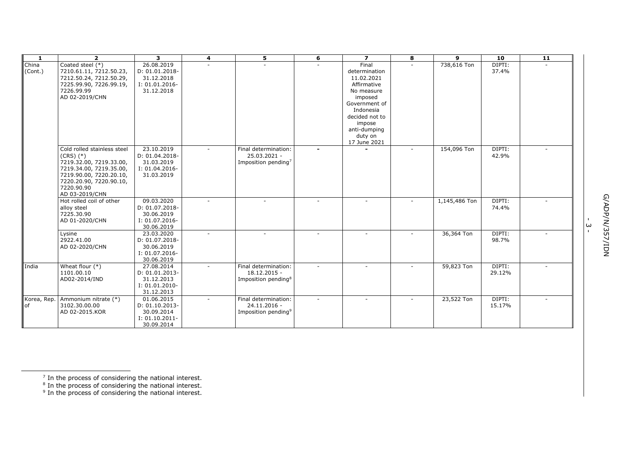| $\mathbf{1}$     | $\overline{2}$                                                         | $\overline{\mathbf{3}}$                    | $\overline{4}$ | 5                                    | 6 | $\overline{ }$                       | 8 | 9             | 10               | 11 |   |            |
|------------------|------------------------------------------------------------------------|--------------------------------------------|----------------|--------------------------------------|---|--------------------------------------|---|---------------|------------------|----|---|------------|
| China<br>(Cont.) | Coated steel (*)<br>7210.61.11, 7212.50.23,<br>7212.50.24, 7212.50.29, | 26.08.2019<br>D: 01.01.2018-<br>31.12.2018 |                |                                      |   | Final<br>determination<br>11.02.2021 |   | 738,616 Ton   | DIPTI:<br>37.4%  |    |   |            |
|                  | 7225.99.90, 7226.99.19,                                                | I: 01.01.2016-                             |                |                                      |   | Affirmative                          |   |               |                  |    |   |            |
|                  | 7226.99.99                                                             | 31.12.2018                                 |                |                                      |   | No measure                           |   |               |                  |    |   |            |
|                  | AD 02-2019/CHN                                                         |                                            |                |                                      |   | imposed                              |   |               |                  |    |   |            |
|                  |                                                                        |                                            |                |                                      |   | Government of                        |   |               |                  |    |   |            |
|                  |                                                                        |                                            |                |                                      |   | Indonesia                            |   |               |                  |    |   |            |
|                  |                                                                        |                                            |                |                                      |   | decided not to<br>impose             |   |               |                  |    |   |            |
|                  |                                                                        |                                            |                |                                      |   | anti-dumping                         |   |               |                  |    |   |            |
|                  |                                                                        |                                            |                |                                      |   | duty on                              |   |               |                  |    |   |            |
|                  |                                                                        |                                            |                |                                      |   | 17 June 2021                         |   |               |                  |    |   |            |
|                  | Cold rolled stainless steel<br>$(CRS)$ $(*)$                           | 23.10.2019<br>D: 01.04.2018-               |                | Final determination:<br>25.03.2021 - |   |                                      |   | 154,096 Ton   | DIPTI:<br>42.9%  |    |   |            |
|                  | 7219.32.00, 7219.33.00,                                                | 31.03.2019                                 |                | Imposition pending <sup>7</sup>      |   |                                      |   |               |                  |    |   |            |
|                  | 7219.34.00, 7219.35.00,<br>7219.90.00, 7220.20.10,                     | I: 01.04.2016-<br>31.03.2019               |                |                                      |   |                                      |   |               |                  |    |   |            |
|                  | 7220.20.90, 7220.90.10,                                                |                                            |                |                                      |   |                                      |   |               |                  |    |   |            |
|                  | 7220.90.90                                                             |                                            |                |                                      |   |                                      |   |               |                  |    |   |            |
|                  | AD 03-2019/CHN                                                         |                                            |                |                                      |   |                                      |   |               |                  |    |   |            |
|                  | Hot rolled coil of other                                               | 09.03.2020                                 |                |                                      |   |                                      |   | 1,145,486 Ton | DIPTI:           |    |   |            |
|                  | alloy steel                                                            | D: 01.07.2018-                             |                |                                      |   |                                      |   |               | 74.4%            |    |   |            |
|                  | 7225.30.90<br>AD 01-2020/CHN                                           | 30.06.2019<br>I: 01.07.2016-               |                |                                      |   |                                      |   |               |                  |    |   |            |
|                  |                                                                        | 30.06.2019                                 |                |                                      |   |                                      |   |               |                  |    | ω |            |
|                  | Lysine                                                                 | 23.03.2020                                 |                |                                      |   |                                      |   | 36,364 Ton    | DIPTI:           |    |   | G/ADP/N/35 |
|                  | 2922.41.00                                                             | D: 01.07.2018-                             |                |                                      |   |                                      |   |               | 98.7%            |    |   |            |
|                  | AD 02-2020/CHN                                                         | 30.06.2019                                 |                |                                      |   |                                      |   |               |                  |    |   | NOI/Z      |
|                  |                                                                        | I: 01.07.2016-                             |                |                                      |   |                                      |   |               |                  |    |   |            |
|                  |                                                                        | 30.06.2019                                 |                |                                      |   |                                      |   |               |                  |    |   |            |
| India            | Wheat flour $(*)$<br>1101.00.10                                        | 27.08.2014<br>D: 01.01.2013-               |                | Final determination:<br>18.12.2015 - |   |                                      |   | 59,823 Ton    | DIPTI:<br>29.12% |    |   |            |
|                  | AD02-2014/IND                                                          | 31.12.2013                                 |                | Imposition pending <sup>8</sup>      |   |                                      |   |               |                  |    |   |            |
|                  |                                                                        | I: 01.01.2010-                             |                |                                      |   |                                      |   |               |                  |    |   |            |
|                  |                                                                        | 31.12.2013                                 |                |                                      |   |                                      |   |               |                  |    |   |            |
| Korea, Rep.      | Ammonium nitrate (*)                                                   | 01.06.2015                                 |                | Final determination:                 |   |                                      |   | 23,522 Ton    | DIPTI:           |    |   |            |
| <b>of</b>        | 3102.30.00.00                                                          | D: 01.10.2013-                             |                | 24.11.2016 -                         |   |                                      |   |               | 15.17%           |    |   |            |
|                  | AD 02-2015.KOR                                                         | 30.09.2014                                 |                | Imposition pending <sup>9</sup>      |   |                                      |   |               |                  |    |   |            |
|                  |                                                                        | I: 01.10.2011-                             |                |                                      |   |                                      |   |               |                  |    |   |            |
|                  |                                                                        | 30.09.2014                                 |                |                                      |   |                                      |   |               |                  |    |   |            |

 $^7$  In the process of considering the national interest.<br> $^8$  In the process of considering the national interest.<br> $^9$  In the process of considering the national interest.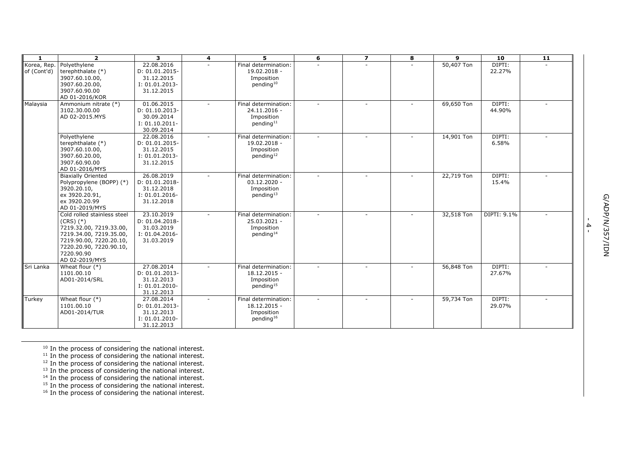| $\mathbf{1}$               | $\overline{2}$                                                                                                                                                                           | 3                                                                             | $\overline{\mathbf{4}}$ | 5.                                                                            | 6      | $\overline{z}$           | 8 | 9          | 10               | 11 |                                                                         |
|----------------------------|------------------------------------------------------------------------------------------------------------------------------------------------------------------------------------------|-------------------------------------------------------------------------------|-------------------------|-------------------------------------------------------------------------------|--------|--------------------------|---|------------|------------------|----|-------------------------------------------------------------------------|
| Korea, Rep.<br>of (Cont'd) | Polvethylene<br>terephthalate (*)<br>3907.60.10.00,<br>3907.60.20.00,<br>3907.60.90.00<br>AD 01-2016/KOR                                                                                 | 22.08.2016<br>D: 01.01.2015-<br>31.12.2015<br>I: 01.01.2013-<br>31.12.2015    |                         | Final determination:<br>19.02.2018 -<br>Imposition<br>pending <sup>10</sup>   |        |                          |   | 50,407 Ton | DIPTI:<br>22.27% |    |                                                                         |
| Malaysia                   | Ammonium nitrate (*)<br>3102.30.00.00<br>AD 02-2015.MYS                                                                                                                                  | 01.06.2015<br>D: 01.10.2013-<br>30.09.2014<br>I: 01.10.2011-<br>30.09.2014    |                         | Final determination:<br>24.11.2016 -<br>Imposition<br>pending <sup>11</sup>   |        | ÷.                       |   | 69,650 Ton | DIPTI:<br>44.90% |    |                                                                         |
|                            | Polyethylene<br>terephthalate (*)<br>3907.60.10.00,<br>3907.60.20.00,<br>3907.60.90.00<br>AD 01-2016/MYS                                                                                 | 22.08.2016<br>D: 01.01.2015-<br>31.12.2015<br>I: 01.01.2013-<br>31.12.2015    |                         | Final determination:<br>19.02.2018 -<br>Imposition<br>pending <sup>12</sup>   |        |                          |   | 14,901 Ton | DIPTI:<br>6.58%  |    |                                                                         |
|                            | <b>Biaxially Oriented</b><br>Polypropylene (BOPP) (*)<br>3920.20.10,<br>ex 3920.20.91.<br>ex 3920.20.99<br>AD 01-2019/MYS                                                                | 26.08.2019<br>D: 01.01.2018-<br>31.12.2018<br>$I: 01.01.2016 -$<br>31.12.2018 |                         | Final determination:<br>$03.12.2020 -$<br>Imposition<br>pending <sup>13</sup> | $\sim$ | $\overline{\phantom{a}}$ |   | 22,719 Ton | DIPTI:<br>15.4%  |    |                                                                         |
|                            | Cold rolled stainless steel<br>$(CRS)$ $(*)$<br>7219.32.00, 7219.33.00,<br>7219.34.00, 7219.35.00,<br>7219.90.00, 7220.20.10,<br>7220.20.90, 7220.90.10,<br>7220.90.90<br>AD 02-2019/MYS | 23.10.2019<br>D: 01.04.2018-<br>31.03.2019<br>I: 01.04.2016-<br>31.03.2019    |                         | Final determination:<br>25.03.2021 -<br>Imposition<br>pending <sup>14</sup>   |        |                          |   | 32,518 Ton | DIPTI: 9.1%      |    | G/ADP/N/35<br>$\mathbf{I}$<br>$\blacktriangle$<br>$\mathbf{L}$<br>NOI/Z |
| Sri Lanka                  | Wheat flour $(*)$<br>1101.00.10<br>AD01-2014/SRL                                                                                                                                         | 27.08.2014<br>D: 01.01.2013-<br>31.12.2013<br>I: 01.01.2010-<br>31.12.2013    |                         | Final determination:<br>18.12.2015 -<br>Imposition<br>pending <sup>15</sup>   |        |                          |   | 56,848 Ton | DIPTI:<br>27.67% |    |                                                                         |
| Turkey                     | Wheat flour $(*)$<br>1101.00.10<br>AD01-2014/TUR                                                                                                                                         | 27.08.2014<br>D: 01.01.2013-<br>31.12.2013<br>I: 01.01.2010-<br>31.12.2013    |                         | Final determination:<br>18.12.2015 -<br>Imposition<br>pending <sup>16</sup>   |        |                          |   | 59,734 Ton | DIPTI:<br>29.07% |    |                                                                         |

 $10$  In the process of considering the national interest.

- $^{12}$  In the process of considering the national interest.<br> $^{13}$  In the process of considering the national interest.<br> $^{14}$  In the process of considering the national interest.
- 
- $15$  In the process of considering the national interest.
- $16$  In the process of considering the national interest.

 $11$  In the process of considering the national interest.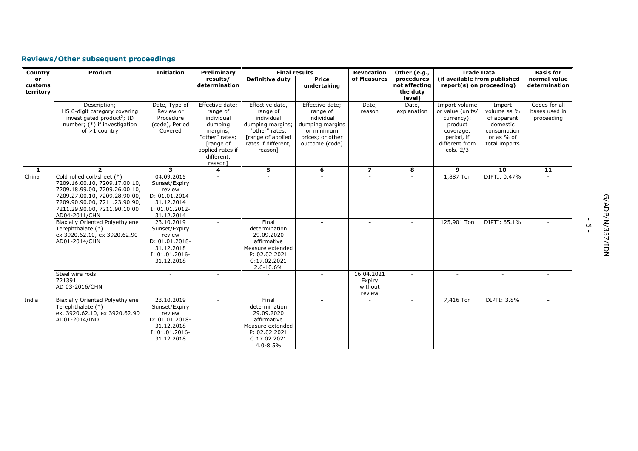# **Reviews/Other subsequent proceedings**

| Country                    | <b>Product</b>                                                                                                                                                                                                                                                                                                 | <b>Initiation</b>                                                                                                                              | Preliminary                                                                                                                                  | <b>Final results</b>                                                                                                                   |                                                                                                                  | <b>Revocation</b>                         | Other (e.g.,                                      | <b>Trade Data</b>                                                                                                    |                                                                                                | <b>Basis for</b>                             |
|----------------------------|----------------------------------------------------------------------------------------------------------------------------------------------------------------------------------------------------------------------------------------------------------------------------------------------------------------|------------------------------------------------------------------------------------------------------------------------------------------------|----------------------------------------------------------------------------------------------------------------------------------------------|----------------------------------------------------------------------------------------------------------------------------------------|------------------------------------------------------------------------------------------------------------------|-------------------------------------------|---------------------------------------------------|----------------------------------------------------------------------------------------------------------------------|------------------------------------------------------------------------------------------------|----------------------------------------------|
| or<br>customs<br>territory |                                                                                                                                                                                                                                                                                                                |                                                                                                                                                | results/<br>determination                                                                                                                    | <b>Definitive duty</b>                                                                                                                 | <b>Price</b><br>undertaking                                                                                      | of Measures                               | procedures<br>not affecting<br>the duty<br>level) | (if available from published<br>report(s) on proceeding)                                                             |                                                                                                | normal value<br>determination                |
|                            | Description;<br>HS 6-digit category covering<br>investigated product <sup>3</sup> ; ID<br>number; (*) if investigation<br>of $>1$ country                                                                                                                                                                      | Date, Type of<br>Review or<br>Procedure<br>(code), Period<br>Covered                                                                           | Effective date:<br>range of<br>individual<br>dumping<br>margins;<br>"other" rates;<br>[range of<br>applied rates if<br>different,<br>reason] | Effective date,<br>range of<br>individual<br>dumping margins;<br>"other" rates;<br>[range of applied<br>rates if different,<br>reason] | Effective date:<br>range of<br>individual<br>dumping margins<br>or minimum<br>prices; or other<br>outcome (code) | Date,<br>reason                           | Date,<br>explanation                              | Import volume<br>or value (units/<br>currency);<br>product<br>coverage,<br>period, if<br>different from<br>cols. 2/3 | Import<br>volume as %<br>of apparent<br>domestic<br>consumption<br>or as % of<br>total imports | Codes for all<br>bases used in<br>proceeding |
| -1                         | $\overline{2}$                                                                                                                                                                                                                                                                                                 | 3                                                                                                                                              | 4                                                                                                                                            | 5                                                                                                                                      | 6                                                                                                                | $\overline{z}$                            | 8                                                 | 9                                                                                                                    | 10                                                                                             | 11                                           |
| China                      | Cold rolled coil/sheet (*)<br>7209.16.00.10, 7209.17.00.10,<br>7209.18.99.00, 7209.26.00.10,<br>7209.27.00.10, 7209.28.90.00,<br>7209.90.90.00, 7211.23.90.90,<br>7211.29.90.00, 7211.90.10.00<br>AD04-2011/CHN<br><b>Biaxially Oriented Polyethylene</b><br>Terephthalate (*)<br>ex 3920.62.10, ex 3920.62.90 | 04.09.2015<br>Sunset/Expiry<br>review<br>D: 01.01.2014-<br>31.12.2014<br>I: 01.01.2012-<br>31.12.2014<br>23.10.2019<br>Sunset/Expiry<br>review |                                                                                                                                              | Final<br>determination                                                                                                                 | $\blacksquare$                                                                                                   |                                           |                                                   | 1,887 Ton<br>125,901 Ton                                                                                             | DIPTI: 0.47%<br>DIPTI: 65.1%                                                                   |                                              |
|                            | AD01-2014/CHN                                                                                                                                                                                                                                                                                                  | D: 01.01.2018-<br>31.12.2018<br>I: 01.01.2016-<br>31.12.2018                                                                                   |                                                                                                                                              | 29.09.2020<br>affirmative<br>Measure extended<br>P: 02.02.2021<br>C: 17.02.2021<br>2.6-10.6%                                           |                                                                                                                  |                                           |                                                   |                                                                                                                      |                                                                                                |                                              |
|                            | Steel wire rods<br>721391<br>AD 03-2016/CHN                                                                                                                                                                                                                                                                    |                                                                                                                                                |                                                                                                                                              |                                                                                                                                        |                                                                                                                  | 16.04.2021<br>Expiry<br>without<br>review | $\overline{a}$                                    |                                                                                                                      |                                                                                                |                                              |
| India                      | <b>Biaxially Oriented Polyethylene</b><br>Terephthalate (*)<br>ex. 3920.62.10, ex 3920.62.90<br>AD01-2014/IND                                                                                                                                                                                                  | 23.10.2019<br>Sunset/Expiry<br>review<br>D: 01.01.2018-<br>31.12.2018<br>I: 01.01.2016-<br>31.12.2018                                          |                                                                                                                                              | Final<br>determination<br>29.09.2020<br>affirmative<br>Measure extended<br>P: 02.02.2021<br>C:17.02.2021<br>4.0-8.5%                   |                                                                                                                  |                                           |                                                   | 7,416 Ton                                                                                                            | DIPTI: 3.8%                                                                                    |                                              |

י<br>-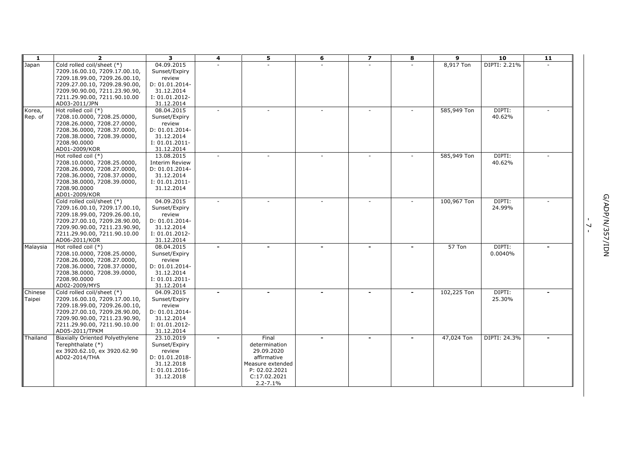| -1       | $\overline{2}$                                             | $\mathbf{3}$                 | 4      | 5                | 6 | $\overline{z}$ | 8 | 9           | 10               | 11 |                |            |
|----------|------------------------------------------------------------|------------------------------|--------|------------------|---|----------------|---|-------------|------------------|----|----------------|------------|
| Japan    | Cold rolled coil/sheet (*)                                 | 04.09.2015                   |        |                  |   |                |   | 8,917 Ton   | DIPTI: 2.21%     |    |                |            |
|          | 7209.16.00.10, 7209.17.00.10,                              | Sunset/Expiry                |        |                  |   |                |   |             |                  |    |                |            |
|          | 7209.18.99.00, 7209.26.00.10,                              | review                       |        |                  |   |                |   |             |                  |    |                |            |
|          | 7209.27.00.10, 7209.28.90.00,                              | D: 01.01.2014-               |        |                  |   |                |   |             |                  |    |                |            |
|          | 7209.90.90.00, 7211.23.90.90,                              | 31.12.2014                   |        |                  |   |                |   |             |                  |    |                |            |
|          | 7211.29.90.00, 7211.90.10.00                               | I: 01.01.2012-               |        |                  |   |                |   |             |                  |    |                |            |
|          | AD03-2011/JPN                                              | 31.12.2014                   |        |                  |   |                |   |             |                  |    |                |            |
| Korea,   | Hot rolled coil (*)                                        | 08.04.2015                   | $\sim$ |                  |   | $\sim$         |   | 585,949 Ton | DIPTI:<br>40.62% |    |                |            |
| Rep. of  | 7208.10.0000, 7208.25.0000,<br>7208.26.0000, 7208.27.0000, | Sunset/Expiry                |        |                  |   |                |   |             |                  |    |                |            |
|          | 7208.36.0000, 7208.37.0000,                                | review<br>D: 01.01.2014-     |        |                  |   |                |   |             |                  |    |                |            |
|          | 7208.38.0000, 7208.39.0000,                                | 31.12.2014                   |        |                  |   |                |   |             |                  |    |                |            |
|          | 7208.90.0000                                               | $I: 01.01.2011 -$            |        |                  |   |                |   |             |                  |    |                |            |
|          | AD01-2009/KOR                                              | 31.12.2014                   |        |                  |   |                |   |             |                  |    |                |            |
|          | Hot rolled coil $(*)$                                      | 13.08.2015                   |        |                  |   |                |   | 585,949 Ton | DIPTI:           |    |                |            |
|          | 7208.10.0000, 7208.25.0000,                                | <b>Interim Review</b>        |        |                  |   |                |   |             | 40.62%           |    |                |            |
|          | 7208.26.0000, 7208.27.0000,                                | D: 01.01.2014-               |        |                  |   |                |   |             |                  |    |                |            |
|          | 7208.36.0000, 7208.37.0000,                                | 31.12.2014                   |        |                  |   |                |   |             |                  |    |                |            |
|          | 7208.38.0000, 7208.39.0000,                                | I: 01.01.2011-               |        |                  |   |                |   |             |                  |    |                |            |
|          | 7208.90.0000                                               | 31.12.2014                   |        |                  |   |                |   |             |                  |    |                |            |
|          | AD01-2009/KOR                                              |                              |        |                  |   |                |   |             |                  |    |                |            |
|          | Cold rolled coil/sheet (*)                                 | 04.09.2015                   | $\sim$ |                  |   |                |   | 100,967 Ton | DIPTI:           |    |                | G/ADP/N/35 |
|          | 7209.16.00.10, 7209.17.00.10,                              | Sunset/Expiry                |        |                  |   |                |   |             | 24.99%           |    |                |            |
|          | 7209.18.99.00, 7209.26.00.10,                              | review                       |        |                  |   |                |   |             |                  |    |                |            |
|          | 7209.27.00.10, 7209.28.90.00,                              | D: 01.01.2014-               |        |                  |   |                |   |             |                  |    |                |            |
|          | 7209.90.90.00, 7211.23.90.90,                              | 31.12.2014                   |        |                  |   |                |   |             |                  |    | $\overline{ }$ |            |
|          | 7211.29.90.00, 7211.90.10.00                               | I: 01.01.2012-               |        |                  |   |                |   |             |                  |    |                |            |
|          | AD06-2011/KOR                                              | 31.12.2014                   |        |                  |   |                |   |             |                  |    |                | NOI/Z      |
| Malaysia | Hot rolled coil $(*)$                                      | 08.04.2015                   |        |                  |   |                |   | 57 Ton      | DIPTI:           |    |                |            |
|          | 7208.10.0000, 7208.25.0000,                                | Sunset/Expiry                |        |                  |   |                |   |             | 0.0040%          |    |                |            |
|          | 7208.26.0000, 7208.27.0000,                                | review                       |        |                  |   |                |   |             |                  |    |                |            |
|          | 7208.36.0000, 7208.37.0000,                                | D: 01.01.2014-               |        |                  |   |                |   |             |                  |    |                |            |
|          | 7208.38.0000, 7208.39.0000,                                | 31.12.2014                   |        |                  |   |                |   |             |                  |    |                |            |
|          | 7208.90.0000<br>AD02-2009/MYS                              | I: 01.01.2011-<br>31.12.2014 |        |                  |   |                |   |             |                  |    |                |            |
| Chinese  | Cold rolled coil/sheet (*)                                 | 04.09.2015                   |        |                  |   | $\blacksquare$ |   | 102,225 Ton | DIPTI:           |    |                |            |
| Taipei   | 7209.16.00.10, 7209.17.00.10,                              | Sunset/Expiry                |        |                  |   |                |   |             | 25.30%           |    |                |            |
|          | 7209.18.99.00, 7209.26.00.10,                              | review                       |        |                  |   |                |   |             |                  |    |                |            |
|          | 7209.27.00.10, 7209.28.90.00,                              | D: 01.01.2014-               |        |                  |   |                |   |             |                  |    |                |            |
|          | 7209.90.90.00, 7211.23.90.90,                              | 31.12.2014                   |        |                  |   |                |   |             |                  |    |                |            |
|          | 7211.29.90.00, 7211.90.10.00                               | I: 01.01.2012-               |        |                  |   |                |   |             |                  |    |                |            |
|          | AD05-2011/TPKM                                             | 31.12.2014                   |        |                  |   |                |   |             |                  |    |                |            |
| Thailand | Biaxially Oriented Polyethylene                            | 23.10.2019                   |        | Final            |   |                |   | 47,024 Ton  | DIPTI: 24.3%     |    |                |            |
|          | Terephthalate (*)                                          | Sunset/Expiry                |        | determination    |   |                |   |             |                  |    |                |            |
|          | ex 3920.62.10, ex 3920.62.90                               | review                       |        | 29.09.2020       |   |                |   |             |                  |    |                |            |
|          | AD02-2014/THA                                              | D: 01.01.2018-               |        | affirmative      |   |                |   |             |                  |    |                |            |
|          |                                                            | 31.12.2018                   |        | Measure extended |   |                |   |             |                  |    |                |            |
|          |                                                            | I: 01.01.2016-               |        | P: 02.02.2021    |   |                |   |             |                  |    |                |            |
|          |                                                            | 31.12.2018                   |        | C: 17.02.2021    |   |                |   |             |                  |    |                |            |
|          |                                                            |                              |        | $2.2 - 7.1%$     |   |                |   |             |                  |    |                |            |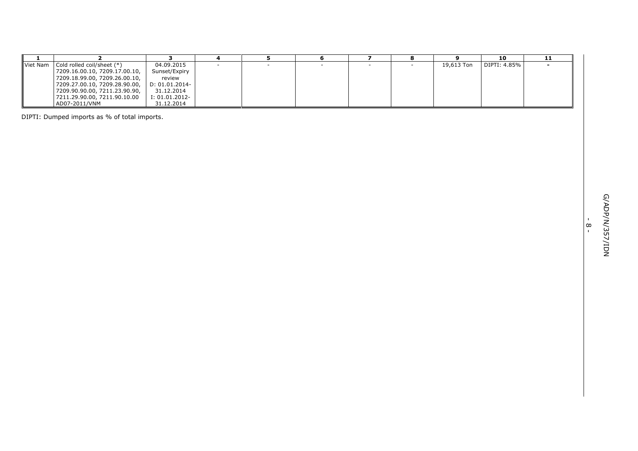| $\blacksquare$ | $\overline{2}$                                                 | 3                        | 4      | 5 | 6      | $\overline{z}$           | 8 | 9          | 10           | 11 |              |
|----------------|----------------------------------------------------------------|--------------------------|--------|---|--------|--------------------------|---|------------|--------------|----|--------------|
| Viet Nam       | Cold rolled coil/sheet (*)                                     | 04.09.2015               | $\sim$ | ÷ | $\sim$ | $\overline{\phantom{a}}$ |   | 19,613 Ton | DIPTI: 4.85% |    |              |
|                | 7209.16.00.10, 7209.17.00.10,                                  | Sunset/Expiry            |        |   |        |                          |   |            |              |    |              |
|                | 7209.18.99.00, 7209.26.00.10,<br>7209.27.00.10, 7209.28.90.00, | review<br>D: 01.01.2014- |        |   |        |                          |   |            |              |    |              |
|                | 7209.90.90.00, 7211.23.90.90,                                  | 31.12.2014               |        |   |        |                          |   |            |              |    |              |
|                | 7211.29.90.00, 7211.90.10.00                                   | $I: 01.01.2012 -$        |        |   |        |                          |   |            |              |    |              |
|                | AD07-2011/VNM                                                  | 31.12.2014               |        |   |        |                          |   |            |              |    |              |
|                |                                                                |                          |        |   |        |                          |   |            |              |    |              |
|                | DIPTI: Dumped imports as % of total imports.                   |                          |        |   |        |                          |   |            |              |    |              |
|                |                                                                |                          |        |   |        |                          |   |            |              |    |              |
|                |                                                                |                          |        |   |        |                          |   |            |              |    |              |
|                |                                                                |                          |        |   |        |                          |   |            |              |    |              |
|                |                                                                |                          |        |   |        |                          |   |            |              |    |              |
|                |                                                                |                          |        |   |        |                          |   |            |              |    |              |
|                |                                                                |                          |        |   |        |                          |   |            |              |    |              |
|                |                                                                |                          |        |   |        |                          |   |            |              |    |              |
|                |                                                                |                          |        |   |        |                          |   |            |              |    |              |
|                |                                                                |                          |        |   |        |                          |   |            |              |    |              |
|                |                                                                |                          |        |   |        |                          |   |            |              |    |              |
|                |                                                                |                          |        |   |        |                          |   |            |              |    |              |
|                |                                                                |                          |        |   |        |                          |   |            |              |    |              |
|                |                                                                |                          |        |   |        |                          |   |            |              |    | $\mathbf{L}$ |
|                |                                                                |                          |        |   |        |                          |   |            |              |    | $\infty$     |
|                |                                                                |                          |        |   |        |                          |   |            |              |    |              |
|                |                                                                |                          |        |   |        |                          |   |            |              |    |              |
|                |                                                                |                          |        |   |        |                          |   |            |              |    |              |
|                |                                                                |                          |        |   |        |                          |   |            |              |    |              |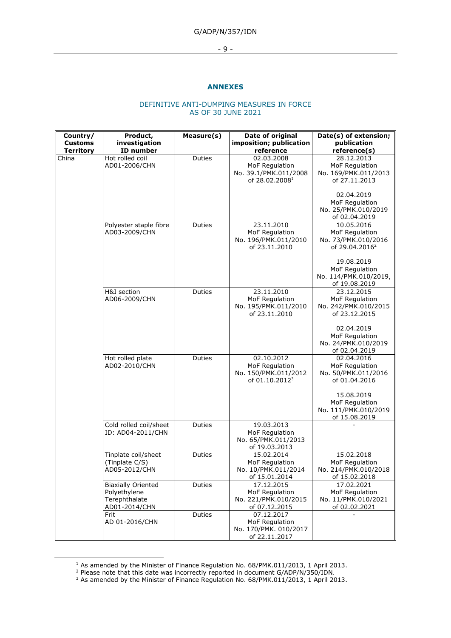G/ADP/N/357/IDN

- 9 -

### **ANNEXES**

#### DEFINITIVE ANTI-DUMPING MEASURES IN FORCE AS OF 30 JUNE 2021

| Country/<br><b>Customs</b> | Product,<br>investigation                                                   | Measure(s)    | Date of original<br>imposition; publication                                         | Date(s) of extension;<br>publication                                              |
|----------------------------|-----------------------------------------------------------------------------|---------------|-------------------------------------------------------------------------------------|-----------------------------------------------------------------------------------|
| <b>Territory</b>           | ID number                                                                   |               | reference                                                                           | reference(s)                                                                      |
| China                      | Hot rolled coil<br>AD01-2006/CHN                                            | Duties        | 02.03.2008<br>MoF Regulation<br>No. 39.1/PMK.011/2008<br>of 28.02.2008 <sup>1</sup> | 28.12.2013<br>MoF Regulation<br>No. 169/PMK.011/2013<br>of 27.11.2013             |
|                            |                                                                             |               |                                                                                     | 02.04.2019<br>MoF Regulation<br>No. 25/PMK.010/2019<br>of 02.04.2019              |
|                            | Polyester staple fibre<br>AD03-2009/CHN                                     | Duties        | 23.11.2010<br>MoF Regulation<br>No. 196/PMK.011/2010<br>of 23.11.2010               | 10.05.2016<br>MoF Regulation<br>No. 73/PMK.010/2016<br>of 29.04.2016 <sup>2</sup> |
|                            |                                                                             |               |                                                                                     | 19.08.2019<br>MoF Regulation<br>No. 114/PMK.010/2019,<br>of 19.08.2019            |
|                            | H&I section<br>AD06-2009/CHN                                                | Duties        | 23.11.2010<br>MoF Regulation<br>No. 195/PMK.011/2010<br>of 23.11.2010               | 23.12.2015<br>MoF Regulation<br>No. 242/PMK.010/2015<br>of 23.12.2015             |
|                            |                                                                             |               |                                                                                     | 02.04.2019<br>MoF Regulation<br>No. 24/PMK.010/2019<br>of 02.04.2019              |
|                            | Hot rolled plate<br>AD02-2010/CHN                                           | <b>Duties</b> | 02.10.2012<br>MoF Regulation<br>No. 150/PMK.011/2012<br>of 01.10.2012 <sup>3</sup>  | 02.04.2016<br>MoF Regulation<br>No. 50/PMK.011/2016<br>of 01.04.2016              |
|                            |                                                                             |               |                                                                                     | 15.08.2019<br>MoF Regulation<br>No. 111/PMK.010/2019<br>of 15.08.2019             |
|                            | Cold rolled coil/sheet<br>ID: AD04-2011/CHN                                 | Duties        | 19.03.2013<br>MoF Regulation<br>No. 65/PMK.011/2013<br>of 19.03.2013                |                                                                                   |
|                            | Tinplate coil/sheet<br>(Tinplate C/S)<br>AD05-2012/CHN                      | Duties        | 15.02.2014<br>MoF Regulation<br>No. 10/PMK.011/2014<br>of 15.01.2014                | 15.02.2018<br>MoF Regulation<br>No. 214/PMK.010/2018<br>of 15.02.2018             |
|                            | <b>Biaxially Oriented</b><br>Polyethylene<br>Terephthalate<br>AD01-2014/CHN | Duties        | 17.12.2015<br>MoF Regulation<br>No. 221/PMK.010/2015<br>of 07.12.2015               | 17.02.2021<br>MoF Regulation<br>No. 11/PMK.010/2021<br>of 02.02.2021              |
|                            | Frit<br>AD 01-2016/CHN                                                      | Duties        | 07.12.2017<br>MoF Regulation<br>No. 170/PMK. 010/2017<br>of 22.11.2017              |                                                                                   |

<sup>&</sup>lt;sup>1</sup> As amended by the Minister of Finance Regulation No. 68/PMK.011/2013, 1 April 2013.

<sup>&</sup>lt;sup>2</sup> Please note that this date was incorrectly reported in document G/ADP/N/350/IDN.

 $3$  As amended by the Minister of Finance Regulation No. 68/PMK.011/2013, 1 April 2013.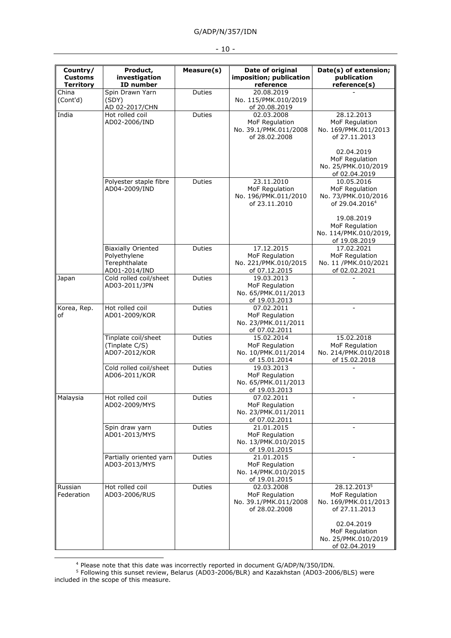|  | v | ۰. |  |
|--|---|----|--|
|--|---|----|--|

| Country/                           | Product,                                                                    | Measure(s)    | Date of original                                                       | Date(s) of extension;                                                             |
|------------------------------------|-----------------------------------------------------------------------------|---------------|------------------------------------------------------------------------|-----------------------------------------------------------------------------------|
| <b>Customs</b><br><b>Territory</b> | investigation<br>ID number                                                  |               | imposition; publication<br>reference                                   | publication<br>reference(s)                                                       |
| China<br>(Cont'd)                  | Spin Drawn Yarn<br>(SDY)<br>AD 02-2017/CHN                                  | <b>Duties</b> | 20.08.2019<br>No. 115/PMK.010/2019<br>of 20.08.2019                    |                                                                                   |
| India                              | Hot rolled coil<br>AD02-2006/IND                                            | Duties        | 02.03.2008<br>MoF Regulation<br>No. 39.1/PMK.011/2008<br>of 28.02.2008 | 28.12.2013<br>MoF Regulation<br>No. 169/PMK.011/2013<br>of 27.11.2013             |
|                                    |                                                                             |               |                                                                        | 02.04.2019<br>MoF Regulation<br>No. 25/PMK.010/2019<br>of 02.04.2019              |
|                                    | Polyester staple fibre<br>AD04-2009/IND                                     | Duties        | 23.11.2010<br>MoF Regulation<br>No. 196/PMK.011/2010<br>of 23.11.2010  | 10.05.2016<br>MoF Regulation<br>No. 73/PMK.010/2016<br>of 29.04.2016 <sup>4</sup> |
|                                    |                                                                             |               |                                                                        | 19.08.2019<br>MoF Regulation<br>No. 114/PMK.010/2019,<br>of 19.08.2019            |
|                                    | <b>Biaxially Oriented</b><br>Polyethylene<br>Terephthalate<br>AD01-2014/IND | Duties        | 17.12.2015<br>MoF Regulation<br>No. 221/PMK.010/2015<br>of 07.12.2015  | 17.02.2021<br>MoF Regulation<br>No. 11 /PMK.010/2021<br>of 02.02.2021             |
| Japan                              | Cold rolled coil/sheet<br>AD03-2011/JPN                                     | <b>Duties</b> | 19.03.2013<br>MoF Regulation<br>No. 65/PMK.011/2013<br>of 19.03.2013   |                                                                                   |
| Korea, Rep.<br>оf                  | Hot rolled coil<br>AD01-2009/KOR                                            | Duties        | 07.02.2011<br>MoF Regulation<br>No. 23/PMK.011/2011<br>of 07.02.2011   | $\blacksquare$                                                                    |
|                                    | Tinplate coil/sheet<br>(Tinplate C/S)<br>AD07-2012/KOR                      | <b>Duties</b> | 15.02.2014<br>MoF Regulation<br>No. 10/PMK.011/2014<br>of 15.01.2014   | 15.02.2018<br>MoF Regulation<br>No. 214/PMK.010/2018<br>of 15.02.2018             |
|                                    | Cold rolled coil/sheet<br>AD06-2011/KOR                                     | Duties        | 19.03.2013<br>MoF Regulation<br>No. 65/PMK.011/2013<br>of 19.03.2013   |                                                                                   |
| Malaysia                           | Hot rolled coil<br>AD02-2009/MYS                                            | <b>Duties</b> | 07.02.2011<br>MoF Regulation<br>No. 23/PMK.011/2011<br>of 07.02.2011   |                                                                                   |
|                                    | Spin draw yarn<br>AD01-2013/MYS                                             | Duties        | 21.01.2015<br>MoF Regulation<br>No. 13/PMK.010/2015<br>of 19.01.2015   |                                                                                   |
|                                    | Partially oriented yarn<br>AD03-2013/MYS                                    | Duties        | 21.01.2015<br>MoF Regulation<br>No. 14/PMK.010/2015<br>of 19.01.2015   |                                                                                   |
| Russian<br>Federation              | Hot rolled coil<br>AD03-2006/RUS                                            | Duties        | 02.03.2008<br>MoF Regulation<br>No. 39.1/PMK.011/2008<br>of 28.02.2008 | 28.12.20135<br>MoF Regulation<br>No. 169/PMK.011/2013<br>of 27.11.2013            |
|                                    |                                                                             |               |                                                                        | 02.04.2019<br>MoF Regulation<br>No. 25/PMK.010/2019<br>of 02.04.2019              |

<sup>4</sup> Please note that this date was incorrectly reported in document G/ADP/N/350/IDN.

<sup>&</sup>lt;sup>5</sup> Following this sunset review, Belarus (AD03-2006/BLR) and Kazakhstan (AD03-2006/BLS) were included in the scope of this measure.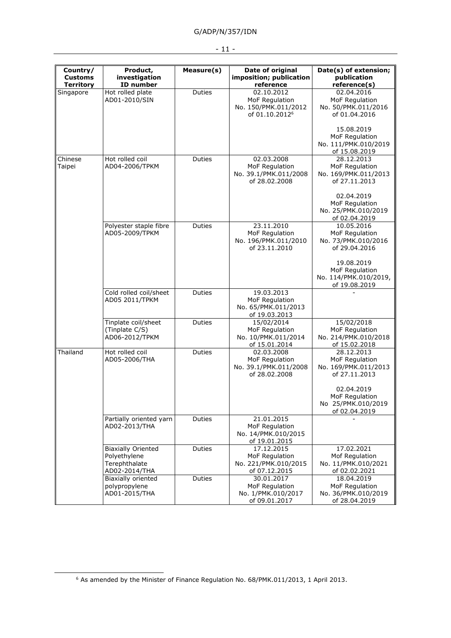| Country/<br><b>Customs</b><br><b>Territory</b> | Product,<br>investigation<br>ID number                                      | Measure(s)    | Date of original<br>imposition; publication<br>reference                           | Date(s) of extension;<br>publication<br>reference(s)                               |
|------------------------------------------------|-----------------------------------------------------------------------------|---------------|------------------------------------------------------------------------------------|------------------------------------------------------------------------------------|
| Singapore                                      | Hot rolled plate<br>AD01-2010/SIN                                           | <b>Duties</b> | 02.10.2012<br>MoF Regulation<br>No. 150/PMK.011/2012<br>of 01.10.2012 <sup>6</sup> | 02.04.2016<br>MoF Regulation<br>No. 50/PMK.011/2016<br>of 01.04.2016<br>15.08.2019 |
|                                                |                                                                             |               |                                                                                    | MoF Regulation<br>No. 111/PMK.010/2019<br>of 15.08.2019                            |
| Chinese<br>Taipei                              | Hot rolled coil<br>AD04-2006/TPKM                                           | Duties        | 02.03.2008<br>MoF Regulation<br>No. 39.1/PMK.011/2008<br>of 28.02.2008             | 28.12.2013<br>MoF Regulation<br>No. 169/PMK.011/2013<br>of 27.11.2013              |
|                                                |                                                                             |               |                                                                                    | 02.04.2019<br>MoF Regulation<br>No. 25/PMK.010/2019<br>of 02.04.2019               |
|                                                | Polyester staple fibre<br>AD05-2009/TPKM                                    | Duties        | 23.11.2010<br>MoF Regulation<br>No. 196/PMK.011/2010<br>of 23.11.2010              | 10.05.2016<br>MoF Regulation<br>No. 73/PMK.010/2016<br>of 29.04.2016               |
|                                                |                                                                             |               |                                                                                    | 19.08.2019<br>MoF Regulation<br>No. 114/PMK.010/2019,<br>of 19.08.2019             |
|                                                | Cold rolled coil/sheet<br>AD05 2011/TPKM                                    | Duties        | 19.03.2013<br>MoF Regulation<br>No. 65/PMK.011/2013<br>of 19.03.2013               |                                                                                    |
|                                                | Tinplate coil/sheet<br>(Tinplate C/S)<br>AD06-2012/TPKM                     | Duties        | 15/02/2014<br>MoF Regulation<br>No. 10/PMK.011/2014<br>of 15.01.2014               | 15/02/2018<br>MoF Regulation<br>No. 214/PMK.010/2018<br>of 15.02.2018              |
| Thailand                                       | Hot rolled coil<br>AD05-2006/THA                                            | <b>Duties</b> | 02.03.2008<br>MoF Regulation<br>No. 39.1/PMK.011/2008<br>of 28.02.2008             | 28.12.2013<br>MoF Regulation<br>No. 169/PMK.011/2013<br>of 27.11.2013              |
|                                                |                                                                             |               |                                                                                    | 02.04.2019<br>MoF Regulation<br>No 25/PMK.010/2019<br>of 02.04.2019                |
|                                                | Partially oriented yarn<br>AD02-2013/THA                                    | Duties        | 21.01.2015<br>MoF Regulation<br>No. 14/PMK.010/2015<br>of 19.01.2015               |                                                                                    |
|                                                | <b>Biaxially Oriented</b><br>Polyethylene<br>Terephthalate<br>AD02-2014/THA | <b>Duties</b> | 17.12.2015<br>MoF Regulation<br>No. 221/PMK.010/2015<br>of 07.12.2015              | 17.02.2021<br>Mof Regulation<br>No. 11/PMK.010/2021<br>of 02.02.2021               |
|                                                | Biaxially oriented<br>polypropylene<br>AD01-2015/THA                        | <b>Duties</b> | 30.01.2017<br>MoF Regulation<br>No. 1/PMK.010/2017<br>of 09.01.2017                | 18.04.2019<br>MoF Regulation<br>No. 36/PMK.010/2019<br>of 28.04.2019               |

<sup>-</sup> 11 -

<sup>6</sup> As amended by the Minister of Finance Regulation No. 68/PMK.011/2013, 1 April 2013.